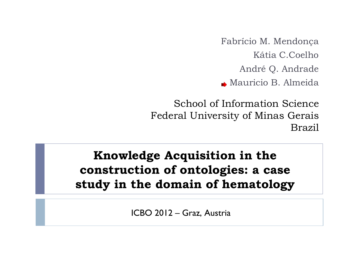Fabrício M. Mendonça Kátia C.Coelho André Q. Andrade Mauricio B. Almeida

School of Information Science Federal University of Minas Gerais Brazil

### **Knowledge Acquisition in the construction of ontologies: a case study in the domain of hematology**

ICBO 2012 – Graz, Austria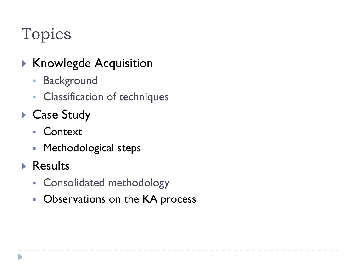# Topics

## ▶ Knowlegde Acquisition

- **Background**
- **Classification of techniques**
- ▶ Case Study
	- § Context
	- Methodological steps
- ▶ Results
	- § Consolidated methodology
	- **Observations on the KA process**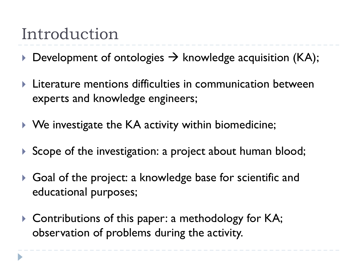# Introduction

- $\triangleright$  Development of ontologies  $\rightarrow$  knowledge acquisition (KA);
- Literature mentions difficulties in communication between experts and knowledge engineers;
- ▶ We investigate the KA activity within biomedicine;
- Scope of the investigation: a project about human blood;
- ▶ Goal of the project: a knowledge base for scientific and educational purposes;
- ▶ Contributions of this paper: a methodology for KA; observation of problems during the activity.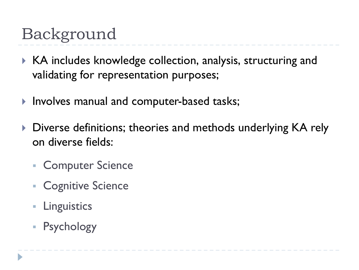# Background

- ▶ KA includes knowledge collection, analysis, structuring and validating for representation purposes;
- Involves manual and computer-based tasks;
- ▶ Diverse definitions; theories and methods underlying KA rely on diverse fields:
	- § Computer Science
	- Cognitive Science
	- § Linguistics
	- **Psychology**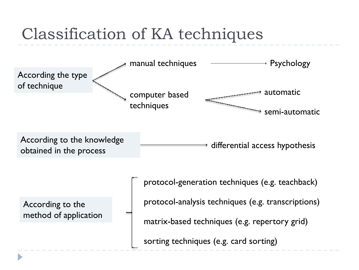# Classification of KA techniques

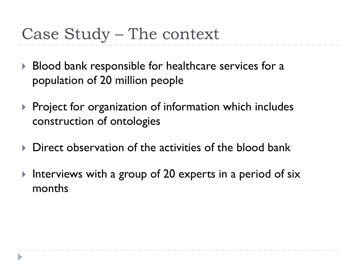# Case Study – The context

- ▶ Blood bank responsible for healthcare services for a population of 20 million people
- $\triangleright$  Project for organization of information which includes construction of ontologies
- Direct observation of the activities of the blood bank
- Interviews with a group of 20 experts in a period of six months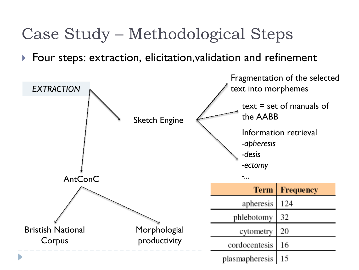# Case Study – Methodological Steps

Four steps: extraction, elicitation,validation and refinement

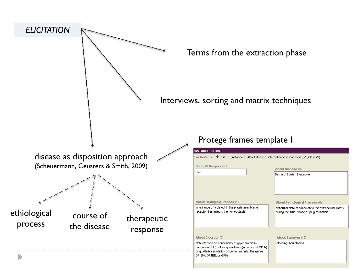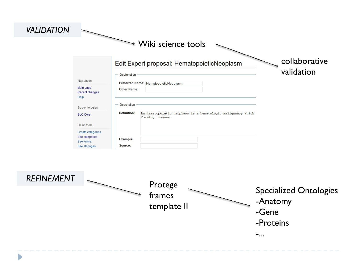#### Wiki science tools

#### collaborative Edit Expert proposal: HematopoieticNeoplasm validation Designation Navigation Preferred Name: HematopoieticNeoplasm Main page **Other Name:** Recent changes Help Description Sub-ontologies **Definition:** An hematopoietic neoplasm is a hematologic malignancy which **BLO Core** forming tissues. **Basic tools** Create categories See categories Example: See forms See all pages Source:



*VALIDATION*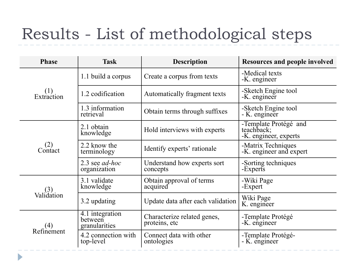# Results - List of methodological steps

| <b>Phase</b>      | <b>Task</b>                                 | <b>Description</b>                           | <b>Resources and people involved</b>                         |
|-------------------|---------------------------------------------|----------------------------------------------|--------------------------------------------------------------|
| (1)<br>Extraction | 1.1 build a corpus                          | Create a corpus from texts                   | -Medical texts<br>-K. engineer                               |
|                   | 1.2 codification                            | Automatically fragment texts                 | -Sketch Engine tool<br>-K. engineer                          |
|                   | 1.3 information<br>retrieval                | Obtain terms through suffixes                | -Sketch Engine tool<br>- K. engineer                         |
| (2)<br>Contact    | 2.1 obtain<br>knowledge                     | Hold interviews with experts                 | -Template Protégé and<br>teachback;<br>-K. engineer, experts |
|                   | 2.2 know the<br>terminology                 | Identify experts' rationale                  | -Matrix Techniques<br>-K. engineer and expert                |
|                   | 2.3 see <i>ad-hoc</i><br>organization       | Understand how experts sort<br>concepts      | -Sorting techniques<br>-Experts                              |
| Validátion        | 3.1 validate<br>knowledge                   | Obtain approval of terms<br>acquired         | -Wiki Page<br>-Expert                                        |
|                   | 3.2 updating                                | Update data after each validation            | Wiki Page<br>K. engineer                                     |
| (4)<br>Refinement | 4.1 integration<br>between<br>granularities | Characterize related genes,<br>proteins, etc | -Template Protégé<br>-K. engineer                            |
|                   | 4.2 connection with<br>top-level            | Connect data with other<br>ontologies        | -Template Protégé-<br>- K. engineer                          |